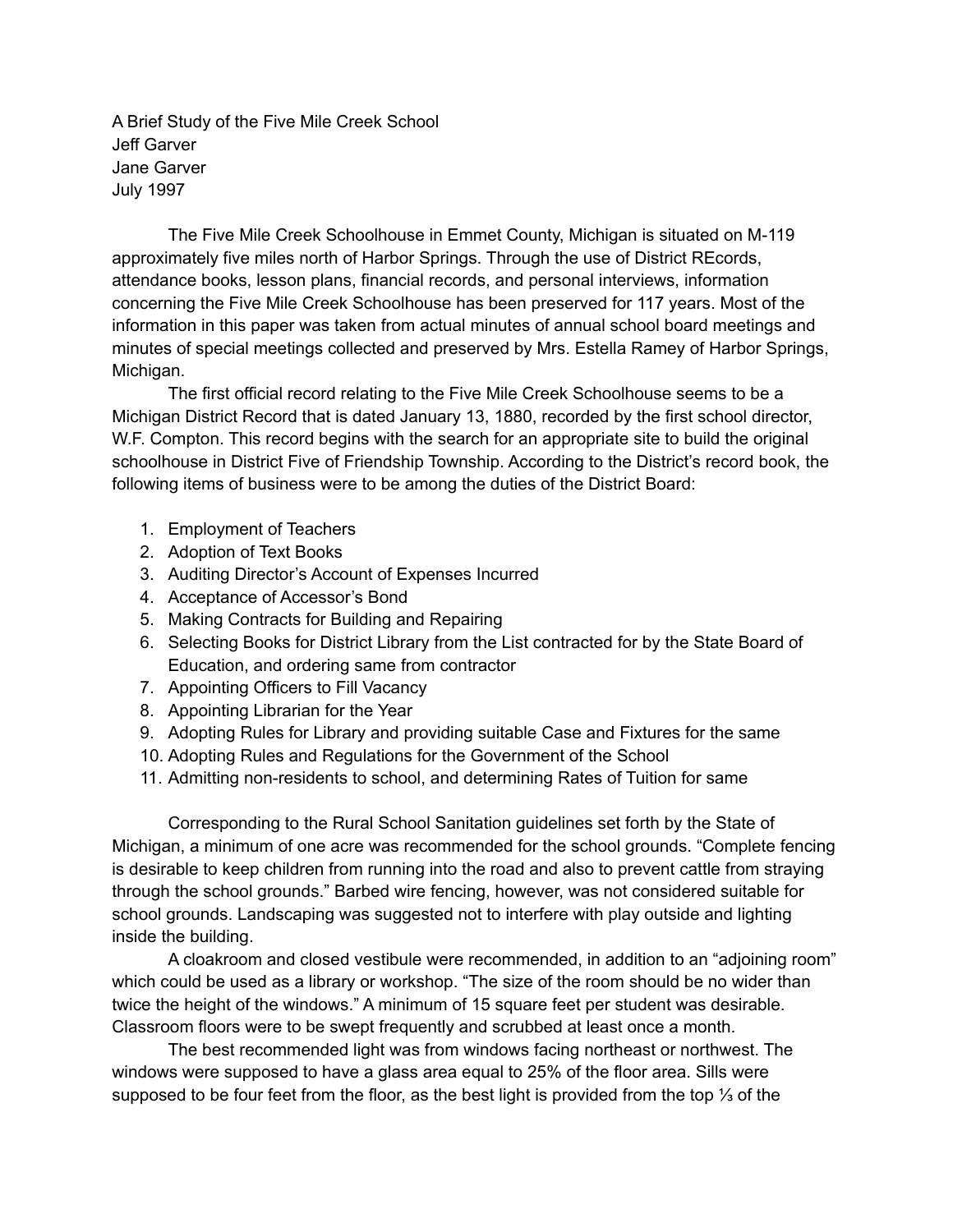A Brief Study of the Five Mile Creek School Jeff Garver Jane Garver July 1997

The Five Mile Creek Schoolhouse in Emmet County, Michigan is situated on M-119 approximately five miles north of Harbor Springs. Through the use of District REcords, attendance books, lesson plans, financial records, and personal interviews, information concerning the Five Mile Creek Schoolhouse has been preserved for 117 years. Most of the information in this paper was taken from actual minutes of annual school board meetings and minutes of special meetings collected and preserved by Mrs. Estella Ramey of Harbor Springs, Michigan.

The first official record relating to the Five Mile Creek Schoolhouse seems to be a Michigan District Record that is dated January 13, 1880, recorded by the first school director, W.F. Compton. This record begins with the search for an appropriate site to build the original schoolhouse in District Five of Friendship Township. According to the District's record book, the following items of business were to be among the duties of the District Board:

- 1. Employment of Teachers
- 2. Adoption of Text Books
- 3. Auditing Director's Account of Expenses Incurred
- 4. Acceptance of Accessor's Bond
- 5. Making Contracts for Building and Repairing
- 6. Selecting Books for District Library from the List contracted for by the State Board of Education, and ordering same from contractor
- 7. Appointing Officers to Fill Vacancy
- 8. Appointing Librarian for the Year
- 9. Adopting Rules for Library and providing suitable Case and Fixtures for the same
- 10. Adopting Rules and Regulations for the Government of the School
- 11. Admitting non-residents to school, and determining Rates of Tuition for same

Corresponding to the Rural School Sanitation guidelines set forth by the State of Michigan, a minimum of one acre was recommended for the school grounds. "Complete fencing is desirable to keep children from running into the road and also to prevent cattle from straying through the school grounds." Barbed wire fencing, however, was not considered suitable for school grounds. Landscaping was suggested not to interfere with play outside and lighting inside the building.

A cloakroom and closed vestibule were recommended, in addition to an "adjoining room" which could be used as a library or workshop. "The size of the room should be no wider than twice the height of the windows." A minimum of 15 square feet per student was desirable. Classroom floors were to be swept frequently and scrubbed at least once a month.

The best recommended light was from windows facing northeast or northwest. The windows were supposed to have a glass area equal to 25% of the floor area. Sills were supposed to be four feet from the floor, as the best light is provided from the top 1⁄3 of the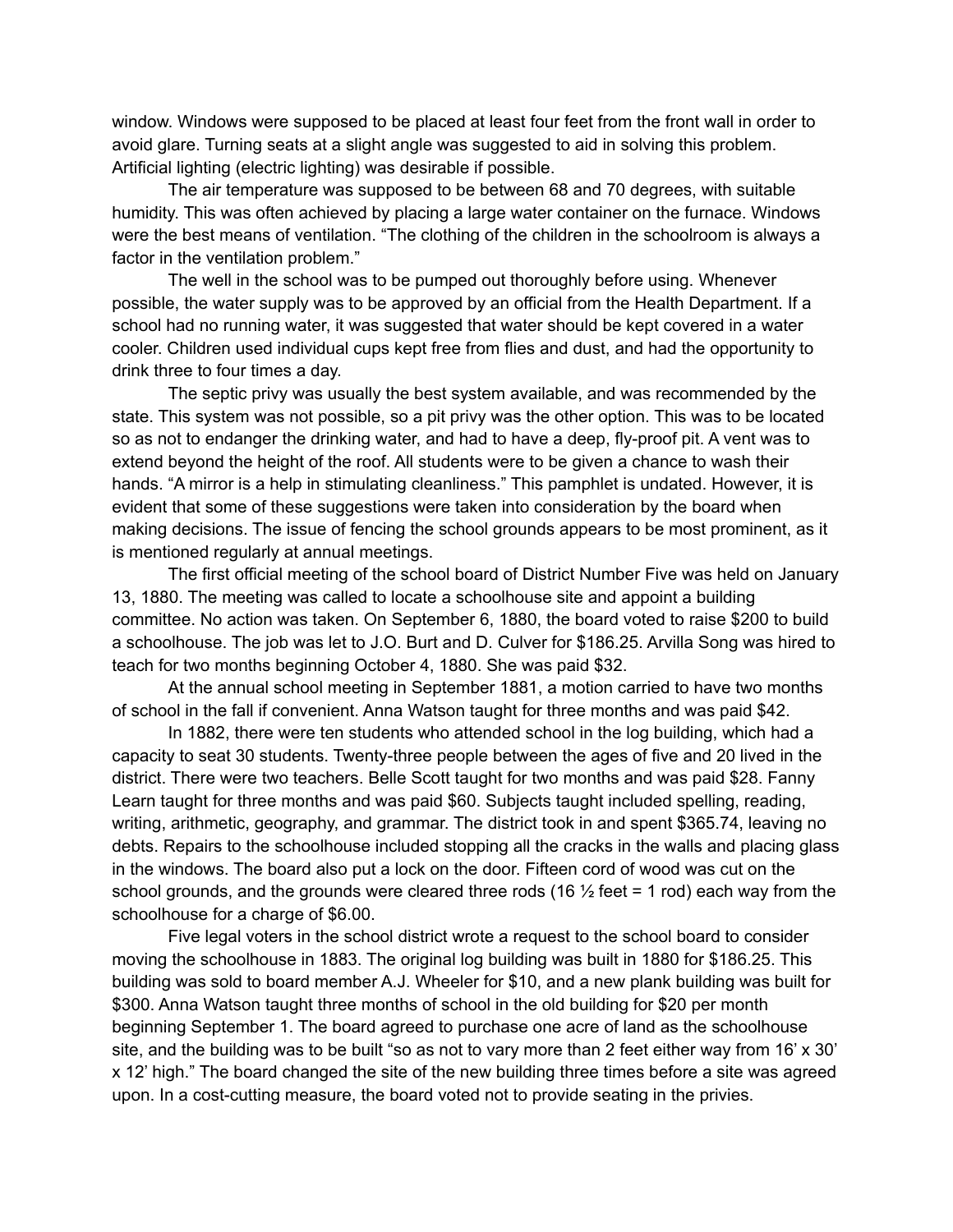window. Windows were supposed to be placed at least four feet from the front wall in order to avoid glare. Turning seats at a slight angle was suggested to aid in solving this problem. Artificial lighting (electric lighting) was desirable if possible.

The air temperature was supposed to be between 68 and 70 degrees, with suitable humidity. This was often achieved by placing a large water container on the furnace. Windows were the best means of ventilation. "The clothing of the children in the schoolroom is always a factor in the ventilation problem."

The well in the school was to be pumped out thoroughly before using. Whenever possible, the water supply was to be approved by an official from the Health Department. If a school had no running water, it was suggested that water should be kept covered in a water cooler. Children used individual cups kept free from flies and dust, and had the opportunity to drink three to four times a day.

The septic privy was usually the best system available, and was recommended by the state. This system was not possible, so a pit privy was the other option. This was to be located so as not to endanger the drinking water, and had to have a deep, fly-proof pit. A vent was to extend beyond the height of the roof. All students were to be given a chance to wash their hands. "A mirror is a help in stimulating cleanliness." This pamphlet is undated. However, it is evident that some of these suggestions were taken into consideration by the board when making decisions. The issue of fencing the school grounds appears to be most prominent, as it is mentioned regularly at annual meetings.

The first official meeting of the school board of District Number Five was held on January 13, 1880. The meeting was called to locate a schoolhouse site and appoint a building committee. No action was taken. On September 6, 1880, the board voted to raise \$200 to build a schoolhouse. The job was let to J.O. Burt and D. Culver for \$186.25. Arvilla Song was hired to teach for two months beginning October 4, 1880. She was paid \$32.

At the annual school meeting in September 1881, a motion carried to have two months of school in the fall if convenient. Anna Watson taught for three months and was paid \$42.

In 1882, there were ten students who attended school in the log building, which had a capacity to seat 30 students. Twenty-three people between the ages of five and 20 lived in the district. There were two teachers. Belle Scott taught for two months and was paid \$28. Fanny Learn taught for three months and was paid \$60. Subjects taught included spelling, reading, writing, arithmetic, geography, and grammar. The district took in and spent \$365.74, leaving no debts. Repairs to the schoolhouse included stopping all the cracks in the walls and placing glass in the windows. The board also put a lock on the door. Fifteen cord of wood was cut on the school grounds, and the grounds were cleared three rods (16  $\frac{1}{2}$  feet = 1 rod) each way from the schoolhouse for a charge of \$6.00.

Five legal voters in the school district wrote a request to the school board to consider moving the schoolhouse in 1883. The original log building was built in 1880 for \$186.25. This building was sold to board member A.J. Wheeler for \$10, and a new plank building was built for \$300. Anna Watson taught three months of school in the old building for \$20 per month beginning September 1. The board agreed to purchase one acre of land as the schoolhouse site, and the building was to be built "so as not to vary more than 2 feet either way from 16' x 30' x 12' high." The board changed the site of the new building three times before a site was agreed upon. In a cost-cutting measure, the board voted not to provide seating in the privies.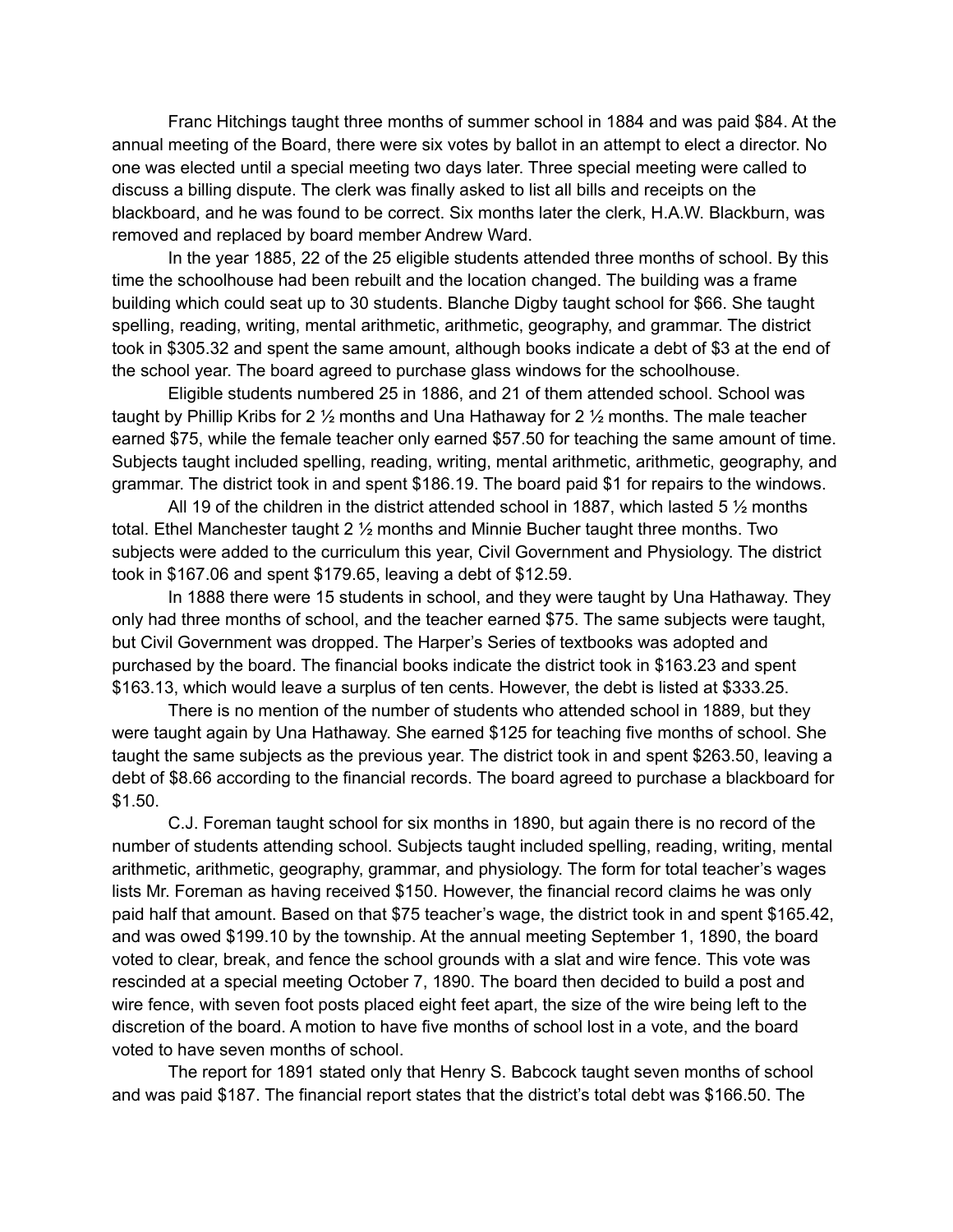Franc Hitchings taught three months of summer school in 1884 and was paid \$84. At the annual meeting of the Board, there were six votes by ballot in an attempt to elect a director. No one was elected until a special meeting two days later. Three special meeting were called to discuss a billing dispute. The clerk was finally asked to list all bills and receipts on the blackboard, and he was found to be correct. Six months later the clerk, H.A.W. Blackburn, was removed and replaced by board member Andrew Ward.

In the year 1885, 22 of the 25 eligible students attended three months of school. By this time the schoolhouse had been rebuilt and the location changed. The building was a frame building which could seat up to 30 students. Blanche Digby taught school for \$66. She taught spelling, reading, writing, mental arithmetic, arithmetic, geography, and grammar. The district took in \$305.32 and spent the same amount, although books indicate a debt of \$3 at the end of the school year. The board agreed to purchase glass windows for the schoolhouse.

Eligible students numbered 25 in 1886, and 21 of them attended school. School was taught by Phillip Kribs for 2  $\frac{1}{2}$  months and Una Hathaway for 2  $\frac{1}{2}$  months. The male teacher earned \$75, while the female teacher only earned \$57.50 for teaching the same amount of time. Subjects taught included spelling, reading, writing, mental arithmetic, arithmetic, geography, and grammar. The district took in and spent \$186.19. The board paid \$1 for repairs to the windows.

All 19 of the children in the district attended school in 1887, which lasted 5  $\frac{1}{2}$  months total. Ethel Manchester taught 2 ½ months and Minnie Bucher taught three months. Two subjects were added to the curriculum this year, Civil Government and Physiology. The district took in \$167.06 and spent \$179.65, leaving a debt of \$12.59.

In 1888 there were 15 students in school, and they were taught by Una Hathaway. They only had three months of school, and the teacher earned \$75. The same subjects were taught, but Civil Government was dropped. The Harper's Series of textbooks was adopted and purchased by the board. The financial books indicate the district took in \$163.23 and spent \$163.13, which would leave a surplus of ten cents. However, the debt is listed at \$333.25.

There is no mention of the number of students who attended school in 1889, but they were taught again by Una Hathaway. She earned \$125 for teaching five months of school. She taught the same subjects as the previous year. The district took in and spent \$263.50, leaving a debt of \$8.66 according to the financial records. The board agreed to purchase a blackboard for \$1.50.

C.J. Foreman taught school for six months in 1890, but again there is no record of the number of students attending school. Subjects taught included spelling, reading, writing, mental arithmetic, arithmetic, geography, grammar, and physiology. The form for total teacher's wages lists Mr. Foreman as having received \$150. However, the financial record claims he was only paid half that amount. Based on that \$75 teacher's wage, the district took in and spent \$165.42, and was owed \$199.10 by the township. At the annual meeting September 1, 1890, the board voted to clear, break, and fence the school grounds with a slat and wire fence. This vote was rescinded at a special meeting October 7, 1890. The board then decided to build a post and wire fence, with seven foot posts placed eight feet apart, the size of the wire being left to the discretion of the board. A motion to have five months of school lost in a vote, and the board voted to have seven months of school.

The report for 1891 stated only that Henry S. Babcock taught seven months of school and was paid \$187. The financial report states that the district's total debt was \$166.50. The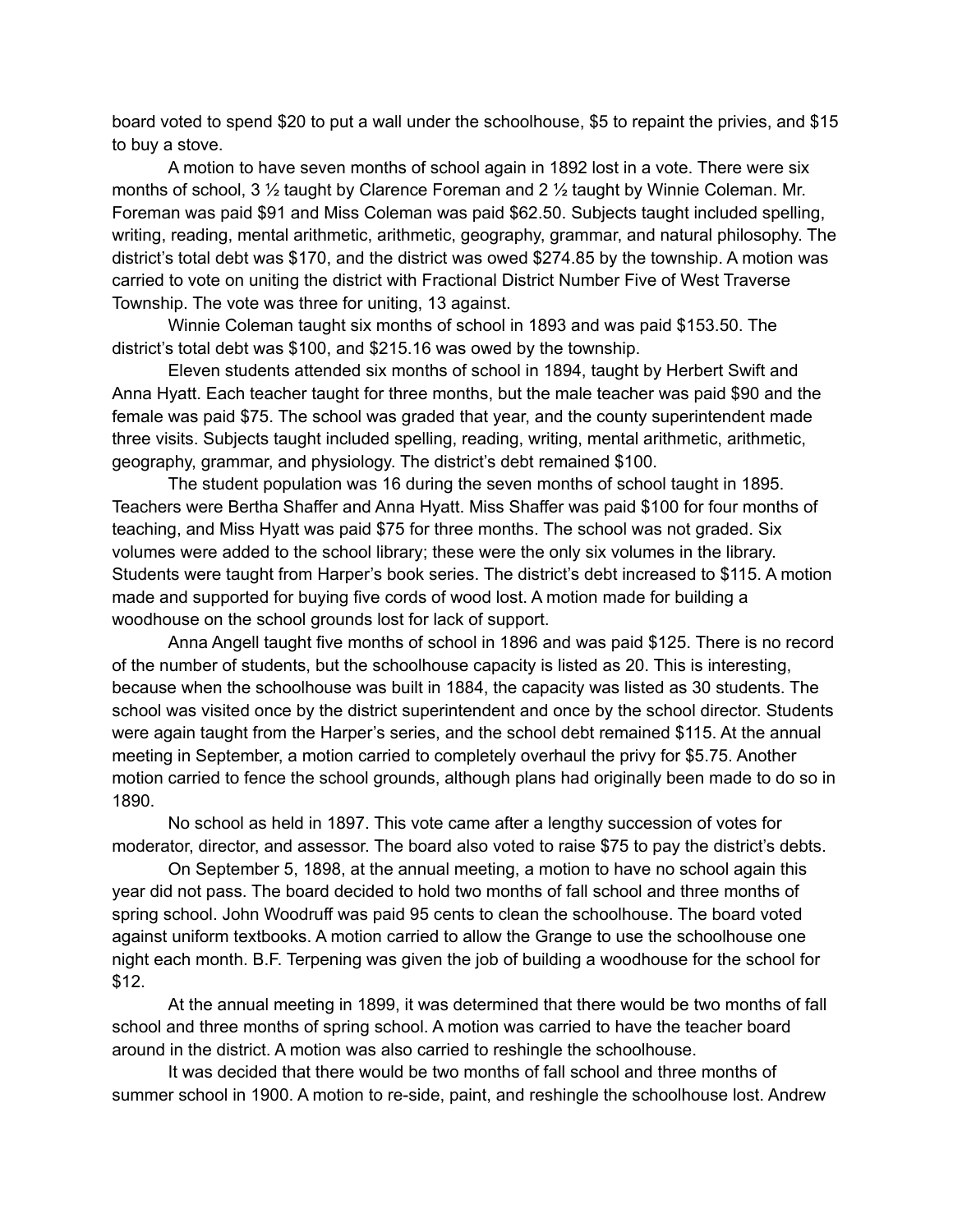board voted to spend \$20 to put a wall under the schoolhouse, \$5 to repaint the privies, and \$15 to buy a stove.

A motion to have seven months of school again in 1892 lost in a vote. There were six months of school, 3 ½ taught by Clarence Foreman and 2 ½ taught by Winnie Coleman. Mr. Foreman was paid \$91 and Miss Coleman was paid \$62.50. Subjects taught included spelling, writing, reading, mental arithmetic, arithmetic, geography, grammar, and natural philosophy. The district's total debt was \$170, and the district was owed \$274.85 by the township. A motion was carried to vote on uniting the district with Fractional District Number Five of West Traverse Township. The vote was three for uniting, 13 against.

Winnie Coleman taught six months of school in 1893 and was paid \$153.50. The district's total debt was \$100, and \$215.16 was owed by the township.

Eleven students attended six months of school in 1894, taught by Herbert Swift and Anna Hyatt. Each teacher taught for three months, but the male teacher was paid \$90 and the female was paid \$75. The school was graded that year, and the county superintendent made three visits. Subjects taught included spelling, reading, writing, mental arithmetic, arithmetic, geography, grammar, and physiology. The district's debt remained \$100.

The student population was 16 during the seven months of school taught in 1895. Teachers were Bertha Shaffer and Anna Hyatt. Miss Shaffer was paid \$100 for four months of teaching, and Miss Hyatt was paid \$75 for three months. The school was not graded. Six volumes were added to the school library; these were the only six volumes in the library. Students were taught from Harper's book series. The district's debt increased to \$115. A motion made and supported for buying five cords of wood lost. A motion made for building a woodhouse on the school grounds lost for lack of support.

Anna Angell taught five months of school in 1896 and was paid \$125. There is no record of the number of students, but the schoolhouse capacity is listed as 20. This is interesting, because when the schoolhouse was built in 1884, the capacity was listed as 30 students. The school was visited once by the district superintendent and once by the school director. Students were again taught from the Harper's series, and the school debt remained \$115. At the annual meeting in September, a motion carried to completely overhaul the privy for \$5.75. Another motion carried to fence the school grounds, although plans had originally been made to do so in 1890.

No school as held in 1897. This vote came after a lengthy succession of votes for moderator, director, and assessor. The board also voted to raise \$75 to pay the district's debts.

On September 5, 1898, at the annual meeting, a motion to have no school again this year did not pass. The board decided to hold two months of fall school and three months of spring school. John Woodruff was paid 95 cents to clean the schoolhouse. The board voted against uniform textbooks. A motion carried to allow the Grange to use the schoolhouse one night each month. B.F. Terpening was given the job of building a woodhouse for the school for \$12.

At the annual meeting in 1899, it was determined that there would be two months of fall school and three months of spring school. A motion was carried to have the teacher board around in the district. A motion was also carried to reshingle the schoolhouse.

It was decided that there would be two months of fall school and three months of summer school in 1900. A motion to re-side, paint, and reshingle the schoolhouse lost. Andrew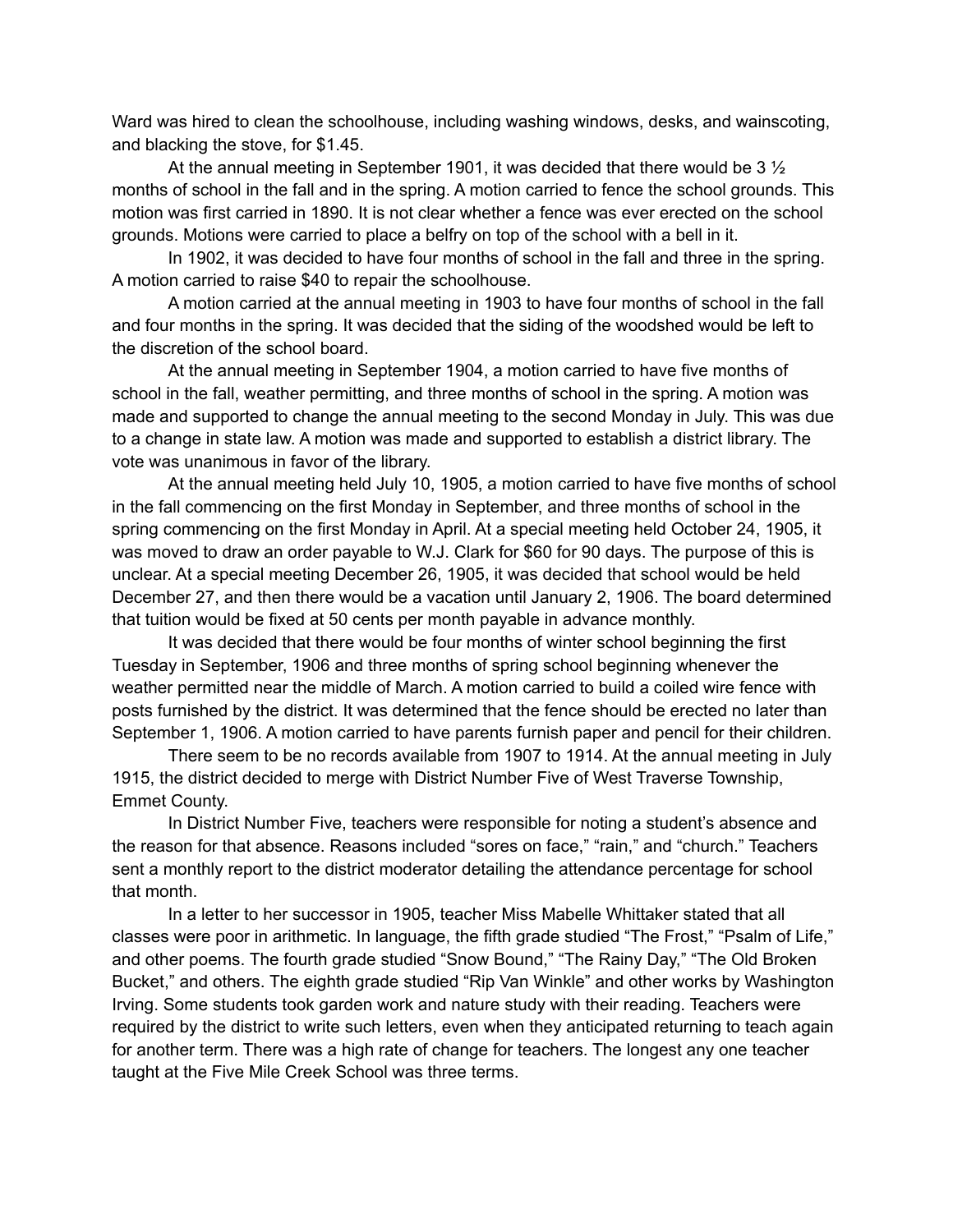Ward was hired to clean the schoolhouse, including washing windows, desks, and wainscoting, and blacking the stove, for \$1.45.

At the annual meeting in September 1901, it was decided that there would be 3  $\frac{1}{2}$ months of school in the fall and in the spring. A motion carried to fence the school grounds. This motion was first carried in 1890. It is not clear whether a fence was ever erected on the school grounds. Motions were carried to place a belfry on top of the school with a bell in it.

In 1902, it was decided to have four months of school in the fall and three in the spring. A motion carried to raise \$40 to repair the schoolhouse.

A motion carried at the annual meeting in 1903 to have four months of school in the fall and four months in the spring. It was decided that the siding of the woodshed would be left to the discretion of the school board.

At the annual meeting in September 1904, a motion carried to have five months of school in the fall, weather permitting, and three months of school in the spring. A motion was made and supported to change the annual meeting to the second Monday in July. This was due to a change in state law. A motion was made and supported to establish a district library. The vote was unanimous in favor of the library.

At the annual meeting held July 10, 1905, a motion carried to have five months of school in the fall commencing on the first Monday in September, and three months of school in the spring commencing on the first Monday in April. At a special meeting held October 24, 1905, it was moved to draw an order payable to W.J. Clark for \$60 for 90 days. The purpose of this is unclear. At a special meeting December 26, 1905, it was decided that school would be held December 27, and then there would be a vacation until January 2, 1906. The board determined that tuition would be fixed at 50 cents per month payable in advance monthly.

It was decided that there would be four months of winter school beginning the first Tuesday in September, 1906 and three months of spring school beginning whenever the weather permitted near the middle of March. A motion carried to build a coiled wire fence with posts furnished by the district. It was determined that the fence should be erected no later than September 1, 1906. A motion carried to have parents furnish paper and pencil for their children.

There seem to be no records available from 1907 to 1914. At the annual meeting in July 1915, the district decided to merge with District Number Five of West Traverse Township, Emmet County.

In District Number Five, teachers were responsible for noting a student's absence and the reason for that absence. Reasons included "sores on face," "rain," and "church." Teachers sent a monthly report to the district moderator detailing the attendance percentage for school that month.

In a letter to her successor in 1905, teacher Miss Mabelle Whittaker stated that all classes were poor in arithmetic. In language, the fifth grade studied "The Frost," "Psalm of Life," and other poems. The fourth grade studied "Snow Bound," "The Rainy Day," "The Old Broken Bucket," and others. The eighth grade studied "Rip Van Winkle" and other works by Washington Irving. Some students took garden work and nature study with their reading. Teachers were required by the district to write such letters, even when they anticipated returning to teach again for another term. There was a high rate of change for teachers. The longest any one teacher taught at the Five Mile Creek School was three terms.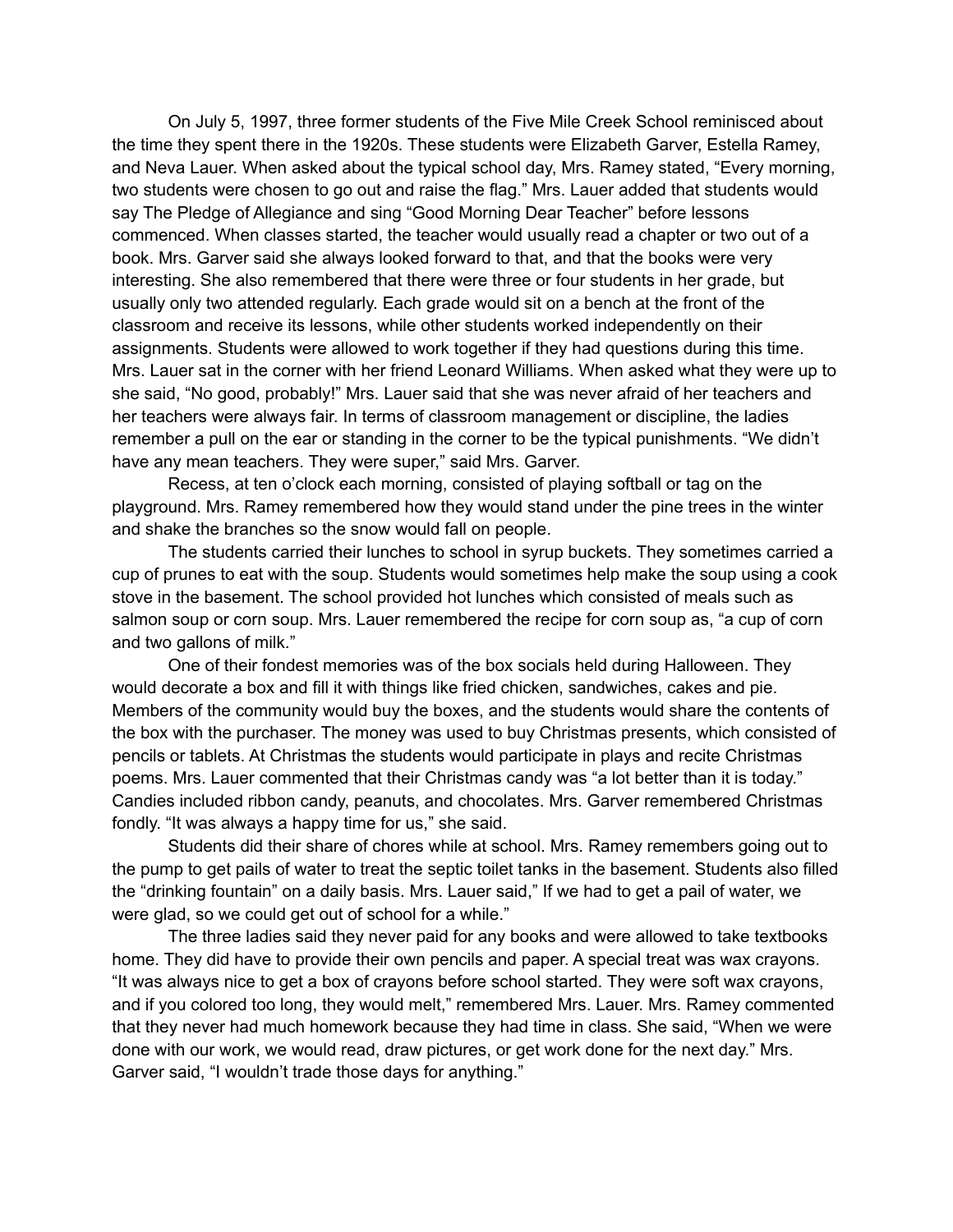On July 5, 1997, three former students of the Five Mile Creek School reminisced about the time they spent there in the 1920s. These students were Elizabeth Garver, Estella Ramey, and Neva Lauer. When asked about the typical school day, Mrs. Ramey stated, "Every morning, two students were chosen to go out and raise the flag." Mrs. Lauer added that students would say The Pledge of Allegiance and sing "Good Morning Dear Teacher" before lessons commenced. When classes started, the teacher would usually read a chapter or two out of a book. Mrs. Garver said she always looked forward to that, and that the books were very interesting. She also remembered that there were three or four students in her grade, but usually only two attended regularly. Each grade would sit on a bench at the front of the classroom and receive its lessons, while other students worked independently on their assignments. Students were allowed to work together if they had questions during this time. Mrs. Lauer sat in the corner with her friend Leonard Williams. When asked what they were up to she said, "No good, probably!" Mrs. Lauer said that she was never afraid of her teachers and her teachers were always fair. In terms of classroom management or discipline, the ladies remember a pull on the ear or standing in the corner to be the typical punishments. "We didn't have any mean teachers. They were super," said Mrs. Garver.

Recess, at ten o'clock each morning, consisted of playing softball or tag on the playground. Mrs. Ramey remembered how they would stand under the pine trees in the winter and shake the branches so the snow would fall on people.

The students carried their lunches to school in syrup buckets. They sometimes carried a cup of prunes to eat with the soup. Students would sometimes help make the soup using a cook stove in the basement. The school provided hot lunches which consisted of meals such as salmon soup or corn soup. Mrs. Lauer remembered the recipe for corn soup as, "a cup of corn and two gallons of milk."

One of their fondest memories was of the box socials held during Halloween. They would decorate a box and fill it with things like fried chicken, sandwiches, cakes and pie. Members of the community would buy the boxes, and the students would share the contents of the box with the purchaser. The money was used to buy Christmas presents, which consisted of pencils or tablets. At Christmas the students would participate in plays and recite Christmas poems. Mrs. Lauer commented that their Christmas candy was "a lot better than it is today." Candies included ribbon candy, peanuts, and chocolates. Mrs. Garver remembered Christmas fondly. "It was always a happy time for us," she said.

Students did their share of chores while at school. Mrs. Ramey remembers going out to the pump to get pails of water to treat the septic toilet tanks in the basement. Students also filled the "drinking fountain" on a daily basis. Mrs. Lauer said," If we had to get a pail of water, we were glad, so we could get out of school for a while."

The three ladies said they never paid for any books and were allowed to take textbooks home. They did have to provide their own pencils and paper. A special treat was wax crayons. "It was always nice to get a box of crayons before school started. They were soft wax crayons, and if you colored too long, they would melt," remembered Mrs. Lauer. Mrs. Ramey commented that they never had much homework because they had time in class. She said, "When we were done with our work, we would read, draw pictures, or get work done for the next day." Mrs. Garver said, "I wouldn't trade those days for anything."